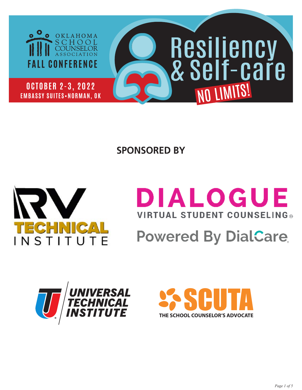

**SPONSORED BY**



# DIALOGUE **VIRTUAL STUDENT COUNSELING®**

# **Powered By DialCare**



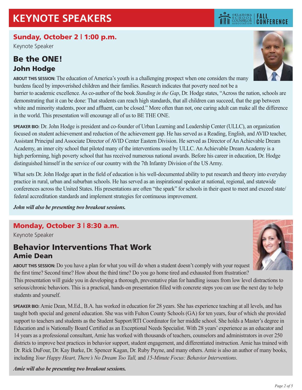## Sunday, October 2 | 1:00 p.m.

Keynote Speaker

## Be the ONE! John Hodge



**FALL<br>CONFERENCE** 

OKLAHOMA

**ABOUT THIS SESSION:** The education of America's youth is a challenging prospect when one considers the many burdens faced by impoverished children and their families. Research indicates that poverty need not be a barrier to academic excellence. As co-author of the book *Standing in the Gap*, Dr. Hodge states, "Across the nation, schools are demonstrating that it can be done: That students can reach high standards, that all children can succeed, that the gap between white and minority students, poor and affluent, can be closed." More often than not, one caring adult can make all the difference in the world. This presentation will encourage all of us to BE THE ONE.

**SPEAKER BIO:** Dr. John Hodge is president and co-founder of Urban Learning and Leadership Center (ULLC), an organization focused on student achievement and reduction of the achievement gap. He has served as a Reading, English, and AVID teacher, Assistant Principal and Associate Director of AVID Center Eastern Division. He served as Director of An Achievable Dream Academy, an inner city school that piloted many of the interventions used by ULLC. An Achievable Dream Academy is a high performing, high poverty school that has received numerous national awards. Before his career in education, Dr. Hodge distinguished himself in the service of our country with the 7th Infantry Division of the US Army.

What sets Dr. John Hodge apart in the field of education is his well-documented ability to put research and theory into everyday practice in rural, urban and suburban schools. He has served as an inspirational speaker at national, regional, and statewide conferences across the United States. His presentations are often "the spark" for schools in their quest to meet and exceed state/ federal accreditation standards and implement strategies for continuous improvement.

*John will also be presenting two breakout sessions.*

## Monday, October 3 | 8:30 a.m.

Keynote Speaker

## Behavior Interventions That Work Amie Dean



**ABOUT THIS SESSION:** Do you have a plan for what you will do when a student doesn't comply with your request the first time? Second time? How about the third time? Do you go home tired and exhausted from frustration?

This presentation will guide you in developing a thorough, preventative plan for handling issues from low level distractions to serious/chronic behaviors. This is a practical, hands-on presentation filled with concrete steps you can use the next day to help students and yourself.

**SPEAKER BIO:** Amie Dean, M.Ed., B.A. has worked in education for 28 years. She has experience teaching at all levels, and has taught both special and general education. She was with Fulton County Schools (GA) for ten years, four of which she provided support to teachers and students as the Student Support/RTI Coordinator for her middle school. She holds a Master's degree in Education and is Nationally Board Certified as an Exceptional Needs Specialist. With 28 years' experience as an educator and 14 years as a professional consultant, Amie has worked with thousands of teachers, counselors and administrators in over 250 districts to improve best practices in behavior support, student engagement, and differentiated instruction. Amie has trained with Dr. Rick DuFour, Dr. Kay Burke, Dr. Spencer Kagan, Dr. Ruby Payne, and many others. Amie is also an author of many books, including *Your Happy Heart, There's No Dream Too Tall,* and *15-Minute Focus: Behavior Interventions*.

*Amie will also be presenting two breakout sessions.*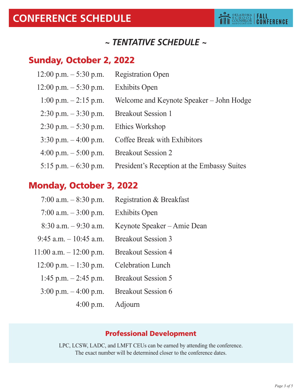# *~ TENTATIVE SCHEDULE ~*

# Sunday, October 2, 2022

- $12:00$  p.m.  $-5:30$  p.m. Registration Open
- 12:00 p.m. 5:30 p.m. Exhibits Open
	- 1:00 p.m. 2:15 p.m. Welcome and Keynote Speaker John Hodge
- 2:30 p.m. 3:30 p.m. Breakout Session 1
- 2:30 p.m. 5:30 p.m. Ethics Workshop
- 3:30 p.m. 4:00 p.m. Coffee Break with Exhibitors
- 4:00 p.m. 5:00 p.m. Breakout Session 2
- 5:15 p.m. 6:30 p.m. President's Reception at the Embassy Suites

# Monday, October 3, 2022

- 7:00 a.m.  $-8:30$  p.m. Registration & Breakfast 7:00 a.m. – 3:00 p.m. Exhibits Open
- 8:30 a.m. 9:30 a.m. Keynote Speaker Amie Dean
- 9:45 a.m. 10:45 a.m. Breakout Session 3
- 11:00 a.m. 12:00 p.m. Breakout Session 4
- 12:00 p.m.  $-1:30$  p.m. Celebration Lunch
	- 1:45 p.m. 2:45 p.m. Breakout Session 5
	- 3:00 p.m. 4:00 p.m. Breakout Session 6
		- 4:00 p.m. Adjourn

## Professional Development

LPC, LCSW, LADC, and LMFT CEUs can be earned by attending the conference. The exact number will be determined closer to the conference dates.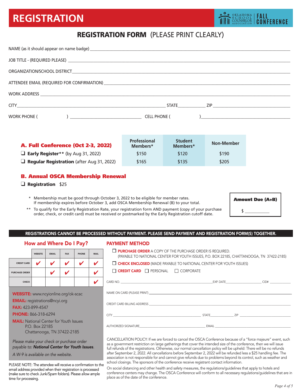# **REGISTRATION**

## REGISTRATION FORM (PLEASE PRINT CLEARLY)

| WORK PHONE (<br>$\left( \begin{array}{ccc} 0 & 0 & 0 \\ 0 & 0 & 0 \\ 0 & 0 & 0 \\ 0 & 0 & 0 \\ 0 & 0 & 0 \\ 0 & 0 & 0 \\ 0 & 0 & 0 \\ 0 & 0 & 0 \\ 0 & 0 & 0 \\ 0 & 0 & 0 \\ 0 & 0 & 0 \\ 0 & 0 & 0 \\ 0 & 0 & 0 \\ 0 & 0 & 0 & 0 \\ 0 & 0 & 0 & 0 \\ 0 & 0 & 0 & 0 \\ 0 & 0 & 0 & 0 & 0 \\ 0 & 0 & 0 & 0 & 0 \\ 0 & 0 & 0 & 0 & 0 \\ 0 & 0 & 0 & 0 &$ | <b>CELL PHONE (</b><br>$\frac{1}{2}$ . The contract of the contract of the contract of the contract of the contract of the contract of the contract of the contract of the contract of the contract of the contract of the contract of the contract of t |
|--------------------------------------------------------------------------------------------------------------------------------------------------------------------------------------------------------------------------------------------------------------------------------------------------------------------------------------------------------|----------------------------------------------------------------------------------------------------------------------------------------------------------------------------------------------------------------------------------------------------------|

| <b>A. Full Conference (Oct 2-3, 2022)</b>        | <b>Professional</b><br>Members* | <b>Student</b><br>Members* | <b>Non-Member</b> |
|--------------------------------------------------|---------------------------------|----------------------------|-------------------|
| $\Box$ Early Register** (by Aug 31, 2022)        | \$150                           | \$120                      | \$190             |
| $\Box$ Regular Registration (after Aug 31, 2022) | \$165                           | \$135                      | \$205             |

#### B. Annual OSCA Membership Renewal

#### $\Box$  Registration \$25

- \* Membership must be good through October 3, 2022 to be eligible for member rates. If membership expires before October 3, add OSCA Membership Renewal (B) to your total.
- \*\* To qualify for the Early Registration Rate, your registration form AND payment (copy of your purchase order, check, or credit card) must be received or postmarked by the Early Registration cutoff date.

| <b>Amount Due (A+B)</b> |  |
|-------------------------|--|
|                         |  |

#### REGISTRATIONS CANNOT BE PROCESSED WITHOUT PAYMENT. PLEASE SEND PAYMENT AND REGISTRATION FORM(S) TOGETHER.

#### How and Where Do I Pay?

|                       | <b>WEBSITE</b> | <b>EMAIL</b> | <b>FAX</b> | <b>PHONE</b> | <b>MAIL</b> |
|-----------------------|----------------|--------------|------------|--------------|-------------|
| <b>CREDIT CARD</b>    | $\bullet$      | $\bullet$    |            |              | v           |
| <b>PURCHASE ORDER</b> |                | v            |            |              | v           |
| <b>CHECK</b>          |                |              |            |              |             |

WEBSITE: www.ncyionline.org/ok-scac

EMAIL: registrations@ncyi.org

FAX: 423-899-4547

PHONE: 866-318-6294

**MAIL:** National Center for Youth Issues P.O. Box 22185 Chattanooga, TN 37422-2185

*Please make your check or purchase order payable to: National Center for Youth Issues*.

*A W-9 is available on the website.*

PLEASE NOTE: The attendee will receive a confirmation to the email address provided when their registration is processed (make sure to check Junk/Spam folders). Please allow ample time for processing.

#### PAYMENT METHOD

| $\Box$ PURCHASE ORDER A COPY OF THE PURCHASE ORDER IS REQUIRED. | (PAYABLE TO NATIONAL CENTER FOR YOUTH ISSUES, P.O. BOX 22185, CHATTANOOGA, TN 37422-2185)                      |  |
|-----------------------------------------------------------------|----------------------------------------------------------------------------------------------------------------|--|
|                                                                 | $\Box$ CHECK ENCLOSED (MADE PAYABLE TO NATIONAL CENTER FOR YOUTH ISSUES)                                       |  |
| $\Box$ <b>CREDIT CARD</b> $\Box$ PERSONAL $\Box$ CORPORATE      |                                                                                                                |  |
|                                                                 |                                                                                                                |  |
|                                                                 | NAME ON CARD (PLEASE PRINT) A DISCRIPTION OF A SERVER OF STATES OF A SERVER OF STATES OF A SERVER OF STATES OF |  |
|                                                                 |                                                                                                                |  |
|                                                                 |                                                                                                                |  |
|                                                                 |                                                                                                                |  |
|                                                                 |                                                                                                                |  |
|                                                                 |                                                                                                                |  |

CANCELLATION POLICY: If we are forced to cancel the OSCA Conference because of a "force majeure" event, such as a government restriction on large gatherings that cover the intended size of the conference, then we will issue full refunds of the registrations. Otherwise, our normal cancellation policy will be upheld: There will be no refunds after September 2, 2022. All cancellations before September 2, 2022 will be refunded less a \$25 handling fee. The association is not responsible for and cannot give refunds due to problems beyond its control, such as weather and school closings. The sponsors of the conference receive registrant contact information.

On social distancing and other health and safety measures, the regulations/guidelines that apply to hotels and conference centers may change. The OSCA Conference will conform to all necessary regulations/guidelines that are in place as of the date of the conference.